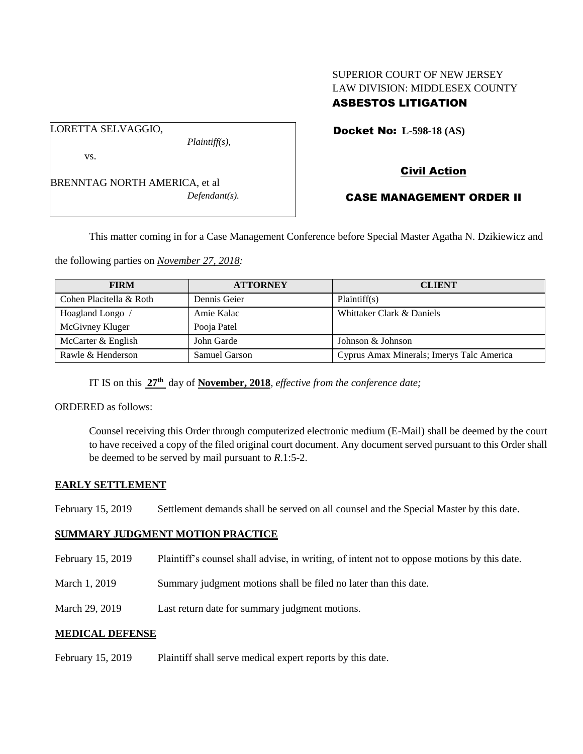# SUPERIOR COURT OF NEW JERSEY LAW DIVISION: MIDDLESEX COUNTY ASBESTOS LITIGATION

LORETTA SELVAGGIO,

vs.

BRENNTAG NORTH AMERICA, et al *Defendant(s).*

*Plaintiff(s),*

Docket No: **L-598-18 (AS)** 

# Civil Action

# CASE MANAGEMENT ORDER II

This matter coming in for a Case Management Conference before Special Master Agatha N. Dzikiewicz and

the following parties on *November 27, 2018:*

| <b>FIRM</b>             | <b>ATTORNEY</b> | <b>CLIENT</b>                             |
|-------------------------|-----------------|-------------------------------------------|
| Cohen Placitella & Roth | Dennis Geier    | Plaintiff(s)                              |
| Hoagland Longo /        | Amie Kalac      | Whittaker Clark & Daniels                 |
| McGivney Kluger         | Pooja Patel     |                                           |
| McCarter & English      | John Garde      | Johnson & Johnson                         |
| Rawle & Henderson       | Samuel Garson   | Cyprus Amax Minerals; Imerys Talc America |

IT IS on this **27th** day of **November, 2018**, *effective from the conference date;*

ORDERED as follows:

Counsel receiving this Order through computerized electronic medium (E-Mail) shall be deemed by the court to have received a copy of the filed original court document. Any document served pursuant to this Order shall be deemed to be served by mail pursuant to *R*.1:5-2.

### **EARLY SETTLEMENT**

February 15, 2019 Settlement demands shall be served on all counsel and the Special Master by this date.

# **SUMMARY JUDGMENT MOTION PRACTICE**

- February 15, 2019 Plaintiff's counsel shall advise, in writing, of intent not to oppose motions by this date.
- March 1, 2019 Summary judgment motions shall be filed no later than this date.
- March 29, 2019 Last return date for summary judgment motions.

### **MEDICAL DEFENSE**

February 15, 2019 Plaintiff shall serve medical expert reports by this date.